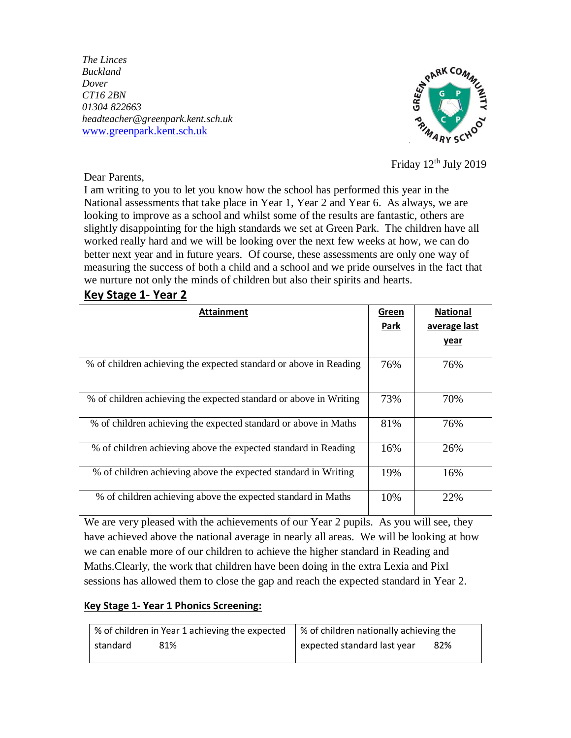*The Linces Buckland Dover CT16 2BN 01304 822663 headteacher@greenpark.kent.sch.uk* [www.greenpark.kent.sch.uk](http://www.greenpark.kent.sch.uk/)



Friday  $12<sup>th</sup>$  July 2019

Dear Parents,

I am writing to you to let you know how the school has performed this year in the National assessments that take place in Year 1, Year 2 and Year 6. As always, we are looking to improve as a school and whilst some of the results are fantastic, others are slightly disappointing for the high standards we set at Green Park. The children have all worked really hard and we will be looking over the next few weeks at how, we can do better next year and in future years. Of course, these assessments are only one way of measuring the success of both a child and a school and we pride ourselves in the fact that we nurture not only the minds of children but also their spirits and hearts.

## **Key Stage 1- Year 2**

| <b>Attainment</b>                                                 | Green | <b>National</b> |
|-------------------------------------------------------------------|-------|-----------------|
|                                                                   | Park  | average last    |
|                                                                   |       | <u>year</u>     |
| % of children achieving the expected standard or above in Reading | 76%   | 76%             |
| % of children achieving the expected standard or above in Writing | 73%   | 70%             |
| % of children achieving the expected standard or above in Maths   | 81%   | 76%             |
| % of children achieving above the expected standard in Reading    | 16%   | 26%             |
| % of children achieving above the expected standard in Writing    | 19%   | 16%             |
| % of children achieving above the expected standard in Maths      | 10%   | 22%             |

We are very pleased with the achievements of our Year 2 pupils. As you will see, they have achieved above the national average in nearly all areas. We will be looking at how we can enable more of our children to achieve the higher standard in Reading and Maths.Clearly, the work that children have been doing in the extra Lexia and Pixl sessions has allowed them to close the gap and reach the expected standard in Year 2.

## **Key Stage 1- Year 1 Phonics Screening:**

|          | % of children in Year 1 achieving the expected | ↓ % of children nationally achieving the |     |
|----------|------------------------------------------------|------------------------------------------|-----|
| standard | 81%                                            | expected standard last year              | 82% |